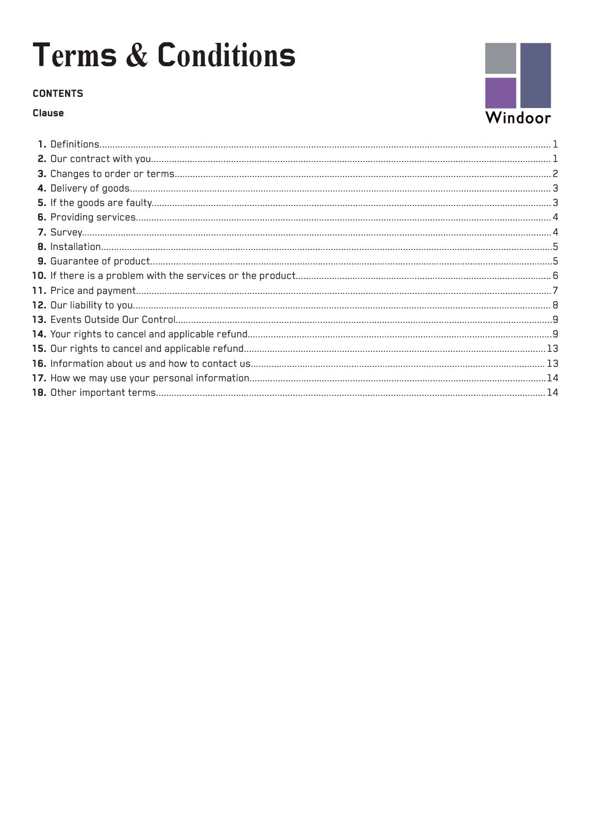### **CONTENTS**

### Clause

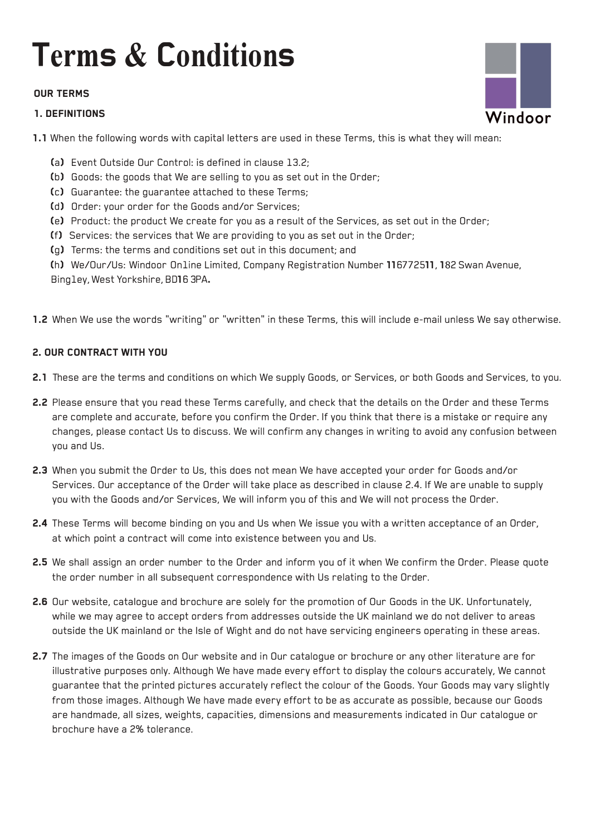### **OUR TERMS**

### **1. DEFINITIONS**



- Ca) Event Outside Our Control: is defined in clause 13.2;
- (b) Goods: the goods that We are selling to you as set out in the Order;
- Cc) Guarantee: the guarantee attached to these Terms;
- Cd) Order: your order for the Goods and/or Services;
- Ce) Product: the product We create for you as a result of the Services, as set out in the Order;
- Cf) Services: the services that We are providing to you as set out in the Order;
- Cg) Terms: the terms and conditions set out in this document; and

Ch) We/Our/Us: Windoor Online Limited, Company Registration Number 116772511, 182 Swan Avenue, Bingley, West Yorkshire, BD16 3PA.

1.2 When We use the words "writing" or "written" in these Terms, this will include e-mail unless We say otherwise.

### **2. OUR CONTRACT WITH YOU**

- 2.1 These are the terms and conditions on which We supply Goods, or Services, or both Goods and Services, to you.
- 2.2 Please ensure that you read these Terms carefully, and check that the details on the Order and these Terms are complete and accurate, before you confirm the Order. If you think that there is a mistake or require any changes, please contact Us to discuss. We will confirm any changes in writing to avoid any confusion between you and Us.
- 2.3 When you submit the Order to Us, this does not mean We have accepted your order for Goods and/or Services. Our acceptance of the Order will take place as described in clause 2.4. If We are unable to supply you with the Goods and/or Services, We will inform you of this and We will not process the Order.
- 2.4 These Terms will become binding on you and Us when We issue you with a written acceptance of an Order, at which point a contract will come into existence between you and Us.
- 2.5 We shall assign an order number to the Order and inform you of it when We confirm the Order. Please quote the order number in all subsequent correspondence with Us relating to the Order.
- 2.6 Our website, catalogue and brochure are solely for the promotion of Our Goods in the UK. Unfortunately, while we may agree to accept orders from addresses outside the UK mainland we do not deliver to areas outside the UK mainland or the Isle of Wight and do not have servicing engineers operating in these areas.
- 2.7 The images of the Goods on Our website and in Our catalogue or brochure or any other literature are for illustrative purposes only. Although We have made every effort to display the colours accurately, We cannot guarantee that the printed pictures accurately reflect the colour of the Goods. Your Goods may vary slightly from those images. Although We have made every effort to be as accurate as possible, because our Goods are handmade, all sizes, weights, capacities, dimensions and measurements indicated in Our catalogue or brochure have a 2% tolerance.

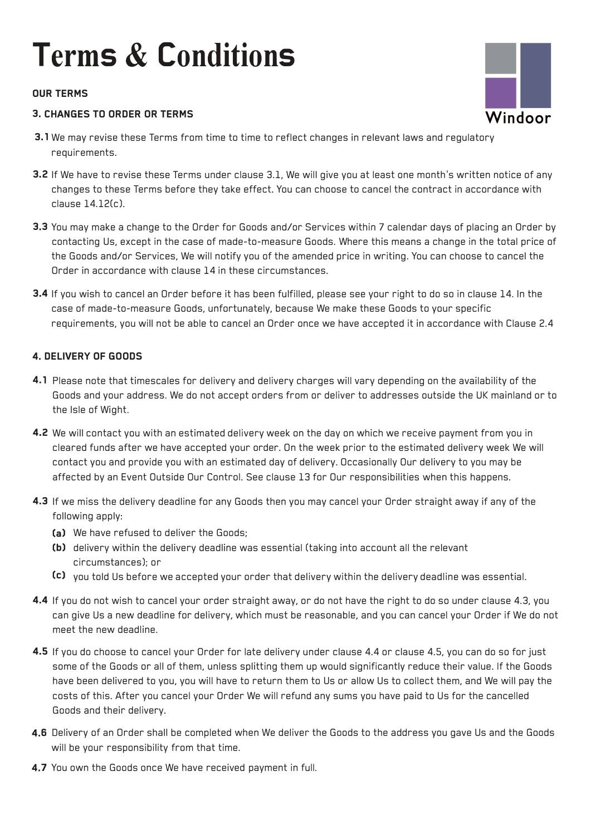### **OUR TERMS**

### **3. CHANGES TO ORDER OR TERMS**

- 3.1 We may revise these Terms from time to time to reflect changes in relevant laws and regulatory requirements.
- 3.2 If We have to revise these Terms under clause 3.1, We will give you at least one month's written notice of any changes to these Terms before they take effect. You can choose to cancel the contract in accordance with clause 14.12(c).
- **3.3** You may make a change to the Order for Goods and/or Services within 7 calendar days of placing an Order by contacting Us, except in the case of made-to-measure Goods. Where this means a change in the total price of the Goods and/or Services, We will notify you of the amended price in writing. You can choose to cancel the Order in accordance with clause 14 in these circumstances.
- **3.4** If you wish to cancel an Order before it has been fulfilled, please see your right to do so in clause 14. In the case of made-to-measure Goods, unfortunately, because We make these Goods to your specific requirements, you will not be able to cancel an Order once we have accepted it in accordance with Clause 2.4

### **4. DELIVERY OF GOODS**

- 4.1 Please note that timescales for delivery and delivery charges will vary depending on the availability of the Goods and your address. We do not accept orders from or deliver to addresses outside the UK mainland or to the Isle of Wight.
- **4.2** We will contact you with an estimated delivery week on the day on which we receive payment from you in cleared funds after we have accepted your order. On the week prior to the estimated delivery week We will contact you and provide you with an estimated day of delivery. Occasionally Our delivery to you may be affected by an Event Outside Our Control. See clause 13 for Our responsibilities when this happens.
- **4.3** If we miss the delivery deadline for any Goods then you may cancel your Order straight away if any of the following apply:
	- (a) We have refused to deliver the Goods;
	- (b) delivery within the delivery deadline was essential (taking into account all the relevant circumstances); or
	- Cc) you told Us before we accepted your order that delivery within the delivery deadline was essential.
- **4.4** If you do not wish to cancel your order straight away, or do not have the right to do so under clause 4.3, you can give Us a new deadline for delivery, which must be reasonable, and you can cancel your Order if We do not meet the new deadline.
- **4.5** If you do choose to cancel your Order for late delivery under clause 4.4 or clause 4.5, you can do so for just some of the Goods or all of them, unless splitting them up would significantly reduce their value. If the Goods have been delivered to you, you will have to return them to Us or allow Us to collect them, and We will pay the costs of this. After you cancel your Order We will refund any sums you have paid to Us for the cancelled Goods and their delivery.
- **4.6** Delivery of an Order shall be completed when We deliver the Goods to the address you gave Us and the Goods will be your responsibility from that time.
- 4.7 You own the Goods once We have received payment in full.

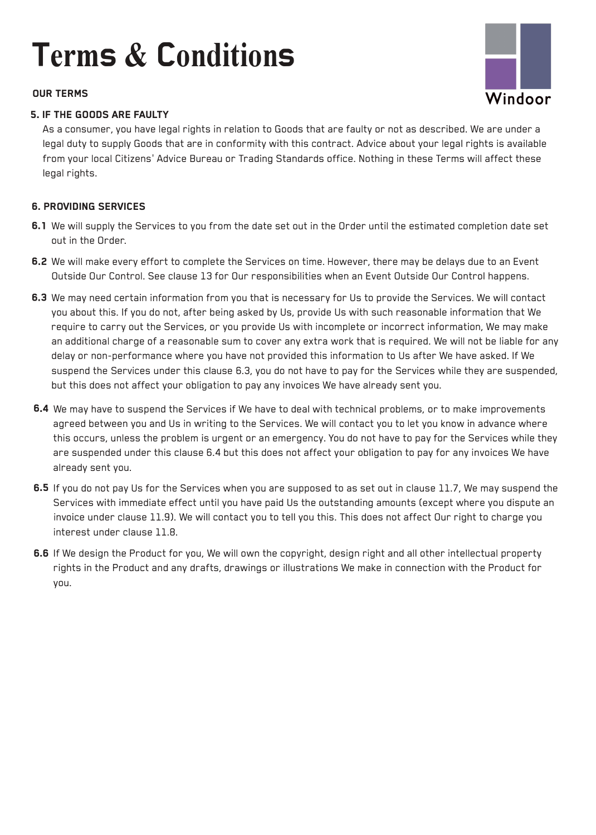### **OUR TERMS**

### **5. IF THE GOODS ARE FAULTY**

As a consumer, you have legal rights in relation to Goods that are faulty or not as described. We are under a legal duty to supply Goods that are in conformity with this contract. Advice about your legal rights is available from your local Citizens' Advice Bureau or Trading Standards office. Nothing in these Terms will affect these legal rights.

### **6. PROVIDING SERVICES**

- 6.1 We will supply the Services to you from the date set out in the Order until the estimated completion date set out in the Order.
- 6.2 We will make every effort to complete the Services on time. However, there may be delays due to an Event Outside Our Control. See clause 13 for Our responsibilities when an Event Outside Our Control happens.
- 6.3 We may need certain information from you that is necessary for Us to provide the Services. We will contact you about this. If you do not, after being asked by Us, provide Us with such reasonable information that We require to carry out the Services, or you provide Us with incomplete or incorrect information, We may make an additional charge of a reasonable sum to cover any extra work that is required. We will not be liable for any delay or non-performance where you have not provided this information to Us after We have asked. If We suspend the Services under this clause 6.3, you do not have to pay for the Services while they are suspended, but this does not affect your obligation to pay any invoices We have already sent you.
- **6.4** We may have to suspend the Services if We have to deal with technical problems, or to make improvements agreed between you and Us in writing to the Services. We will contact you to let you know in advance where this occurs, unless the problem is urgent or an emergency. You do not have to pay for the Services while they are suspended under this clause 6.4 but this does not affect your obligation to pay for any invoices We have already sent you.
- 6.5 If you do not pay Us for the Services when you are supposed to as set out in clause 11.7, We may suspend the Services with immediate effect until you have paid Us the outstanding amounts (except where you dispute an invoice under clause 11.9). We will contact you to tell you this. This does not affect Our right to charge you interest under clause 11.8.
- **6.6** If We design the Product for you, We will own the copyright, design right and all other intellectual property rights in the Product and any drafts, drawings or illustrations We make in connection with the Product for you.

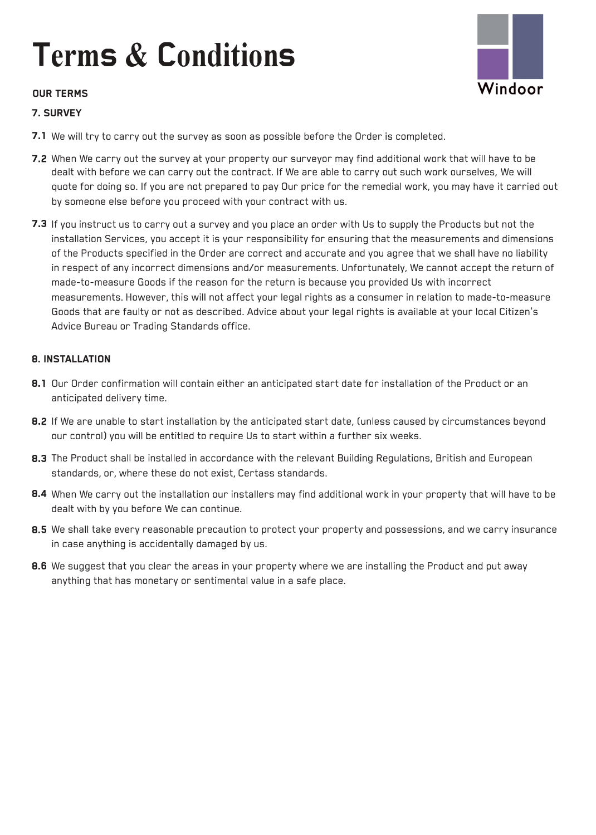### **OUR TERMS**

### **7.SURVEY**

- Windoor
- 7.1 We will try to carry out the survey as soon as possible before the Order is completed.
- 7.2 When We carry out the survey at your property our surveyor may find additional work that will have to be dealt with before we can carry out the contract. If We are able to carry out such work ourselves, We will quote for doing so. If you are not prepared to pay Our price for the remedial work, you may have it carried out by someone else before you proceed with your contract with us.
- 7.3 If you instruct us to carry out a survey and you place an order with Us to supply the Products but not the installation Services, you accept it is your responsibility for ensuring that the measurements and dimensions of the Products specified in the Order are correct and accurate and you agree that we shall have no liability in respect of any incorrect dimensions and/or measurements. Unfortunately, We cannot accept the return of made-to-measure Goods if the reason for the return is because you provided Us with incorrect measurements. However, this will not affect your legal rights as a consumer in relation to made-to-measure Goods that are faulty or not as described. Advice about your legal rights is available at your local Citizen's Advice Bureau or Trading Standards office.

### **8. INSTALLATION**

- 8.1 Our Order confirmation will contain either an anticipated start date for installation of the Product or an anticipated delivery time.
- 8.2 If We are unable to start installation by the anticipated start date, (unless caused by circumstances beyond our control) you will be entitled to require Us to start within a further six weeks.
- 8.3 The Product shall be installed in accordance with the relevant Building Regulations, British and European standards, or, where these do not exist, Certass standards.
- 8.4 When We carry out the installation our installers may find additional work in your property that will have to be dealt with by you before We can continue.
- 8.5 We shall take every reasonable precaution to protect your property and possessions, and we carry insurance in case anything is accidentally damaged by us.
- 8.6 We suggest that you clear the areas in your property where we are installing the Product and put away anything that has monetary or sentimental value in a safe place.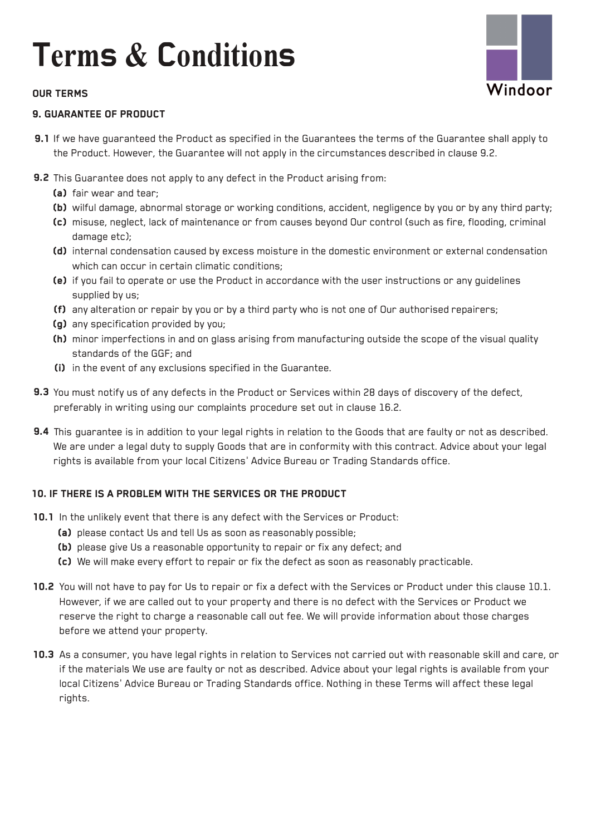

### **9. GUARANTEE OF PRODUCT**

9.1 If we have guaranteed the Product as specified in the Guarantees the terms of the Guarantee shall apply to the Product. However, the Guarantee will not apply in the circumstances described in clause 9.2.

Vindoor

- **9.2** This Guarantee does not apply to any defect in the Product arising from:
	- (a) fair wear and tear;
	- Cb) wilful damage, abnormal storage or working conditions, accident, negligence by you or by any third party;
	- (c) misuse, neglect, lack of maintenance or from causes beyond Our control (such as fire, flooding, criminal damage etc);
	- (d) internal condensation caused by excess moisture in the domestic environment or external condensation which can occur in certain climatic conditions;
	- (e) if you fail to operate or use the Product in accordance with the user instructions or any guidelines supplied by us;
	- (f) any alteration or repair by you or by a third party who is not one of Our authorised repairers;
	- (g) any specification provided by you;
	- (h) minor imperfections in and on glass arising from manufacturing outside the scope of the visual quality standards of the GGF; and
	- (i) in the event of any exclusions specified in the Guarantee.
- **9.3** You must notify us of any defects in the Product or Services within 28 days of discovery of the defect, preferably in writing using our complaints procedure set out in clause 16.2.
- 9.4 This guarantee is in addition to your legal rights in relation to the Goods that are faulty or not as described. We are under a legal duty to supply Goods that are in conformity with this contract. Advice about your legal rights is available from your local Citizens' Advice Bureau or Trading Standards office.

### **10. IF THERE IS A PROBLEM WITH THE SERVICES OR THE PRODUCT**

- **10.1** In the unlikely event that there is any defect with the Services or Product:
	- (a) please contact Us and tell Us as soon as reasonably possible;
	- (b) please give Us a reasonable opportunity to repair or fix any defect; and
	- Cc) We will make every effort to repair or fix the defect as soon as reasonably practicable.
- **10.2** You will not have to pay for Us to repair or fix a defect with the Services or Product under this clause 10.1. However, if we are called out to your property and there is no defect with the Services or Product we reserve the right to charge a reasonable call out fee. We will provide information about those charges before we attend your property.
- **10.3** As a consumer, you have legal rights in relation to Services not carried out with reasonable skill and care, or if the materials We use are faulty or not as described. Advice about your legal rights is available from your local Citizens' Advice Bureau or Trading Standards office. Nothing in these Terms will affect these legal rights.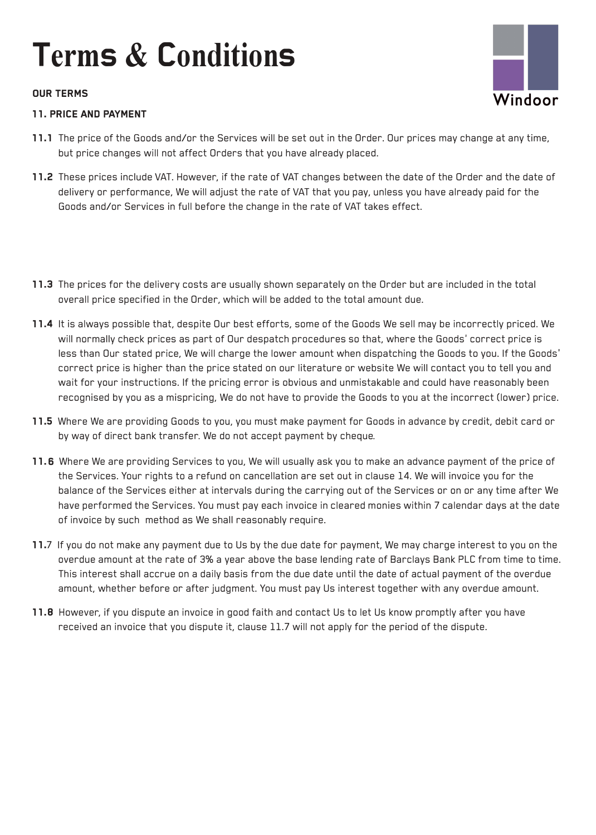### OUR TERMS

### 11. PRICE AND PAYMENT

- Windoor
- 11.1 The price of the Goods and/or the Services will be set out in the Order. Our prices may change at any time, but price changes will not affect Orders that you have already placed.
- 11.2 These prices include VAT. However, if the rate of VAT changes between the date of the Order and the date of delivery or performance, We will adjust the rate of VAT that you pay, unless you have already paid for the Goods and/or Services in full before the change in the rate of VAT takes effect.
- 11.3 The prices for the delivery costs are usually shown separately on the Order but are included in the total overall price specified in the Order, which will be added to the total amount due.
- 11.4 It is always possible that, despite Our best efforts, some of the Goods We sell may be incorrectly priced. We will normally check prices as part of Our despatch procedures so that, where the Goods' correct price is less than Our stated price, We will charge the lower amount when dispatching the Goods to you. If the Goods' correct price is higher than the price stated on our literature or website We will contact you to tell you and wait for your instructions. If the pricing error is obvious and unmistakable and could have reasonably been recognised by you as a mispricing, We do not have to provide the Goods to you at the incorrect (lower) price.
- 11.5 Where We are providing Goods to you, you must make payment for Goods in advance by credit, debit card or by way of direct bank transfer. We do not accept payment by cheque.
- 11.6 Where We are providing Services to you, We will usually ask you to make an advance payment of the price of the Services. Your rights to a refund on cancellation are set out in clause 14. We will invoice you for the balance of the Services either at intervals during the carrying out of the Services or on or any time after We have performed the Services. You must pay each invoice in cleared monies within 7 calendar days at the date of invoice by such method as We shall reasonably require.
- 11.7 If you do not make any payment due to Us by the due date for payment, We may charge interest to you on the overdue amount at the rate of 3% a year above the base lending rate of Barclays Bank PLC from time to time. This interest shall accrue on a daily basis from the due date until the date of actual payment of the overdue amount, whether before or after judgment. You must pay Us interest together with any overdue amount.
- 11.8 However, if you dispute an invoice in good faith and contact Us to let Us know promptly after you have received an invoice that you dispute it, clause 11.7 will not apply for the period of the dispute.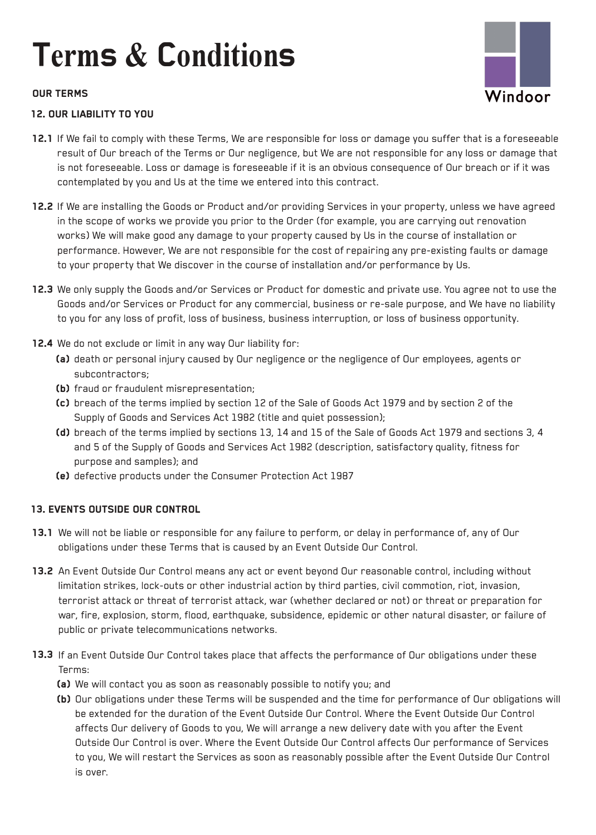# Windoor

### OUR TERMS

### 12. OUR LIABILITY TO YOU

- 12.1 If We fail to comply with these Terms, We are responsible for loss or damage you suffer that is a foreseeable result of Our breach of the Terms or Our negligence, but We are not responsible for any loss or damage that is not foreseeable. Loss or damage is foreseeable if it is an obvious consequence of Our breach or if it was contemplated by you and Us at the time we entered into this contract.
- 12.2 If We are installing the Goods or Product and/or providing Services in your property, unless we have agreed in the scope of works we provide you prior to the Order (for example, you are carrying out renovation works) We will make good any damage to your property caused by Us in the course of installation or performance. However, We are not responsible for the cost of repairing any pre-existing faults or damage to your property that We discover in the course of installation and/or performance by Us.
- 12.3 We only supply the Goods and/or Services or Product for domestic and private use. You agree not to use the Goods and/or Services or Product for any commercial, business or re-sale purpose, and We have no liability to you for any loss of profit, loss of business, business interruption, or loss of business opportunity.
- 12.4 We do not exclude or limit in any way Our liability for:
	- (a) death or personal injury caused by Our negligence or the negligence of Our employees, agents or subcontractors;
	- (b) fraud or fraudulent misrepresentation;
	- Cc) breach of the terms implied by section 12 of the Sale of Goods Act 1979 and by section 2 of the Supply of Goods and Services Act 1982 (title and quiet possession);
	- (d) breach of the terms implied by sections 13, 14 and 15 of the Sale of Goods Act 1979 and sections 3, 4 and 5 of the Supply of Goods and Services Act 1982 (description, satisfactory quality, fitness for purpose and samples); and
	- Ce) defective products under the Consumer Protection Act 1987

### 13. EVENTS OUTSIDE OUR CONTROL

- 13.1 We will not be liable or responsible for any failure to perform, or delay in performance of, any of Our obligations under these Terms that is caused by an Event Outside Our Control.
- 13.2 An Event Outside Our Control means any act or event beyond Our reasonable control, including without limitation strikes, lock-outs or other industrial action by third parties, civil commotion, riot, invasion, terrorist attack or threat of terrorist attack, war (whether declared or not) or threat or preparation for war, fire, explosion, storm, flood, earthquake, subsidence, epidemic or other natural disaster, or failure of public or private telecommunications networks.
- 13.3 If an Event Outside Our Control takes place that affects the performance of Our obligations under these Terms:
	- (a) We will contact you as soon as reasonably possible to notify you; and
	- Cb) Our obligations under these Terms will be suspended and the time for performance of Our obligations will be extended for the duration of the Event Outside Our Control. Where the Event Outside Our Control affects Our delivery of Goods to you, We will arrange a new delivery date with you after the Event Outside Our Control is over. Where the Event Outside Our Control affects Our performance of Services to you, We will restart the Services as soon as reasonably possible after the Event Outside Our Control is over.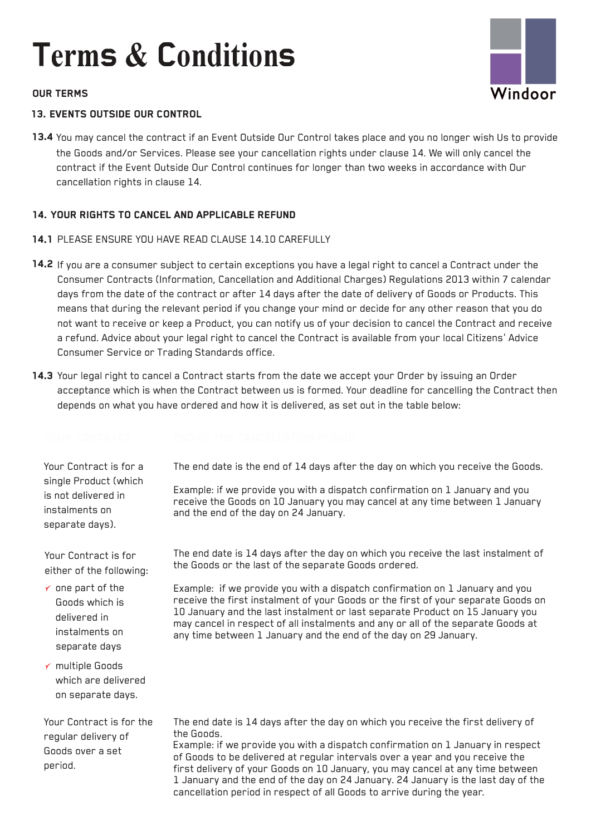

### **OUR TERMS**

### **13. EVENTS OUTSIDE OUR CONTROL**

**13.4** You may cancel the contract if an Event Outside Our Control takes place and you no longer wish Us to provide the Goods and/or Services. Please see your cancellation rights under clause 14. We will only cancel the contract if the Event Outside Our Control continues for longer than two weeks in accordance with Our cancellation rights in clause 14.

### **14. YOUR RIGHTS TO CANCEL AND APPLICABLE REFUND**

- **14.1** PLEASE ENSURE YOU HAVE READ CLAUSE 14.10 CAREFULLY
- **14.2** If you are a consumer subject to certain exceptions you have a legal right to cancel a Contract under the Consumer Contracts (Information, Cancellation and Additional Charges) Regulations 2013 within 7 calendar days from the date of the contract or after 14 days after the date of delivery of Goods or Products. This means that during the relevant period if you change your mind or decide for any other reason that you do not want to receive or keep a Product, you can notify us of your decision to cancel the Contract and receive a refund. Advice about your legal right to cancel the Contract is available from your local Citizens' Advice Consumer Service or Trading Standards office.
- **14.3** Your legal right to cancel a Contract starts from the date we accept your Order by issuing an Order acceptance which is when the Contract between us is formed. Your deadline for cancelling the Contract then depends on what you have ordered and how it is delivered, as set out in the table below:

Your Contract is for a single Product (which is not delivered in instalments on separate days).

Your Contract is for either of the following:

*'f* one part of the Goods which is delivered in instalments on separate days

*'f* multiple Goods which are delivered on separate days.

Your Contract is for the regular delivery of Goods over a set period.

The end date is the end of 14 days after the day on which you receive the Goods.

Example: if we provide you with a dispatch confirmation on 1 January and you receive the Goods on 10 January you may cancel at any time between 1 January and the end of the day on 24 January.

The end date is 14 days after the day on which you receive the last instalment of the Goods or the last of the separate Goods ordered.

Example: if we provide you with a dispatch confirmation on 1 January and you receive the first instalment of your Goods or the first of your separate Goods on 10 January and the last instalment or last separate Product on 15 January you may cancel in respect of all instalments and any or all of the separate Goods at any time between 1 January and the end of the day on 29 January.

The end date is 14 days after the day on which you receive the first delivery of the Goods.

Example: if we provide you with a dispatch confirmation on 1 January in respect of Goods to be delivered at regular intervals over a year and you receive the first delivery of your Goods on 10 January, you may cancel at any time between 1 January and the end of the day on 24 January. 24 January is the last day of the cancellation period in respect of all Goods to arrive during the year.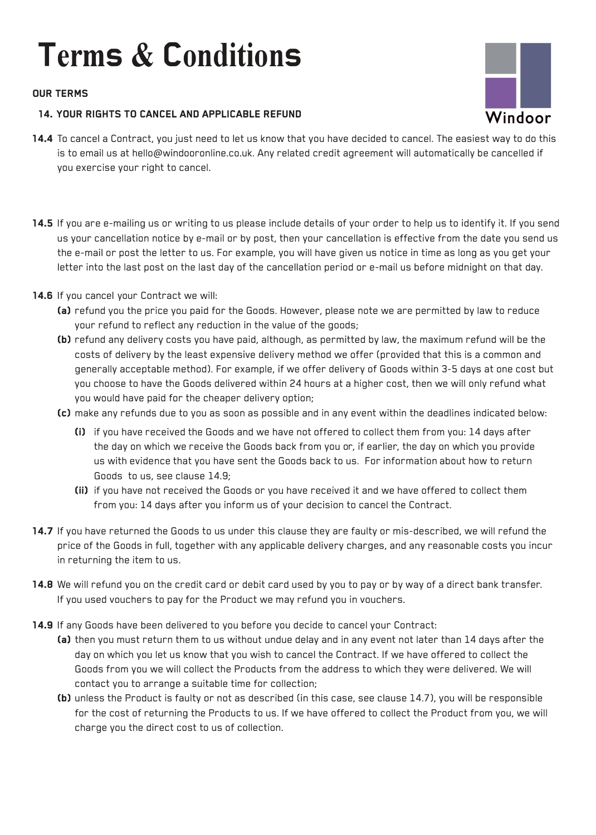### **OUR TERMS**

### **14. YOUR RIGHTS TO CANCEL AND APPLICABLE REFUND**



- **14.4** To cancel a Contract, you just need to let us know that you have decided to cancel. The easiest way to do this is to email us at hello@windooronline.co.uk. Any related credit agreement will automatically be cancelled if you exercise your right to cancel.
- **14.5** If you are e-mailing us or writing to us please include details of your order to help us to identify it. If you send us your cancellation notice by e-mail or by post, then your cancellation is effective from the date you send us the e-mail or post the letter to us. For example, you will have given us notice in time as long as you get your letter into the last post on the last day of the cancellation period or e-mail us before midnight on that day.
- **14.6** If you cancel your Contract we will:
	- **(a)** refund you the price you paid for the Goods. However, please note we are permitted by law to reduce your refund to reflect any reduction in the value of the goods;
	- (b) refund any delivery costs you have paid, although, as permitted by law, the maximum refund will be the costs of delivery by the least expensive delivery method we offer (provided that this is a common and generally acceptable method). For example, if we offer delivery of Goods within 3-5 days at one cost but you choose to have the Goods delivered within 24 hours at a higher cost, then we will only refund what you would have paid for the cheaper delivery option;
	- Cc) make any refunds due to you as soon as possible and in any event within the deadlines indicated below:
		- **Ci)** if you have received the Goods and we have not offered to collect them from you: 14 days after the day on which we receive the Goods back from you or, if earlier, the day on which you provide us with evidence that you have sent the Goods back to us. For information about how to return Goods to us, see clause 14.9;
		- **(ii)** if you have not received the Goods or you have received it and we have offered to collect them from you: 14 days after you inform us of your decision to cancel the Contract.
- **14.7** If you have returned the Goods to us under this clause they are faulty or mis-described, we will refund the price of the Goods in full, together with any applicable delivery charges, and any reasonable costs you incur in returning the item to us.
- **14.8** We will refund you on the credit card or debit card used by you to pay or by way of a direct bank transfer. If you used vouchers to pay for the Product we may refund you in vouchers.
- **14.9** If any Goods have been delivered to you before you decide to cancel your Contract:
	- **(a)** then you must return them to us without undue delay and in any event not later than 14 days after the day on which you let us know that you wish to cancel the Contract. If we have offered to collect the Goods from you we will collect the Products from the address to which they were delivered. We will contact you to arrange a suitable time for collection;
	- Cb) unless the Product is faulty or not as described (in this case, see clause 14.7), you will be responsible for the cost of returning the Products to us. If we have offered to collect the Product from you, we will charge you the direct cost to us of collection.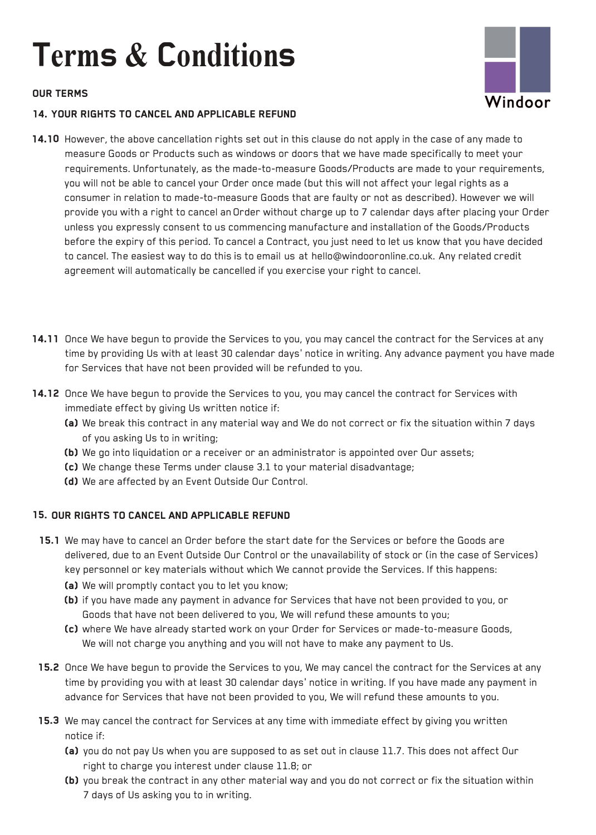### **OUR TERMS**





- **14.10** However, the above cancellation rights set out in this clause do not apply in the case of any made to measure Goods or Products such as windows or doors that we have made specifically to meet your requirements. Unfortunately, as the made-to-measure Goods/Products are made to your requirements, you will not be able to cancel your Order once made (but this will not affect your legal rights as a consumer in relation to made-to-measure Goods that are faulty or not as described). However we will provide you with a right to cancel an Order without charge up to 7 calendar days after placing your Order unless you expressly consent to us commencing manufacture and installation of the Goods/Products before the expiry of this period. To cancel a Contract, you just need to let us know that you have decided to cancel. The easiest way to do this is to email us at hello@windooronline.co.uk. Any related credit agreement will automatically be cancelled if you exercise your right to cancel.
- **14.11** Once We have begun to provide the Services to you, you may cancel the contract for the Services at any time by providing Us with at least 30 calendar days' notice in writing. Any advance payment you have made for Services that have not been provided will be refunded to you.
- **14.12** Once We have begun to provide the Services to you, you may cancel the contract for Services with immediate effect by giving Us written notice if:
	- (a) We break this contract in any material way and We do not correct or fix the situation within 7 days of you asking Us to in writing;
	- (b) We go into liquidation or a receiver or an administrator is appointed over Our assets;
	- Cc) We change these Terms under clause 3.1 to your material disadvantage;
	- (d) We are affected by an Event Outside Our Control.

### **15. OUR RIGHTS TO CANCEL AND APPLICABLE REFUND**

- 15.1 We may have to cancel an Order before the start date for the Services or before the Goods are delivered, due to an Event Outside Our Control or the unavailability of stock or (in the case of Services) key personnel or key materials without which We cannot provide the Services. If this happens:
	- (a) We will promptly contact you to let you know;
	- (b) if you have made any payment in advance for Services that have not been provided to you, or Goods that have not been delivered to you, We will refund these amounts to you;
	- Cc) where We have already started work on your Order for Services or made-to-measure Goods, We will not charge you anything and you will not have to make any payment to Us.
- **15.2** Once We have begun to provide the Services to you, We may cancel the contract for the Services at any time by providing you with at least 30 calendar days' notice in writing. If you have made any payment in advance for Services that have not been provided to you, We will refund these amounts to you.
- **15.3** We may cancel the contract for Services at any time with immediate effect by giving you written notice if:
	- (a) you do not pay Us when you are supposed to as set out in clause 11.7. This does not affect Our right to charge you interest under clause 11.8; or
	- (b) you break the contract in any other material way and you do not correct or fix the situation within 7 days of Us asking you to in writing.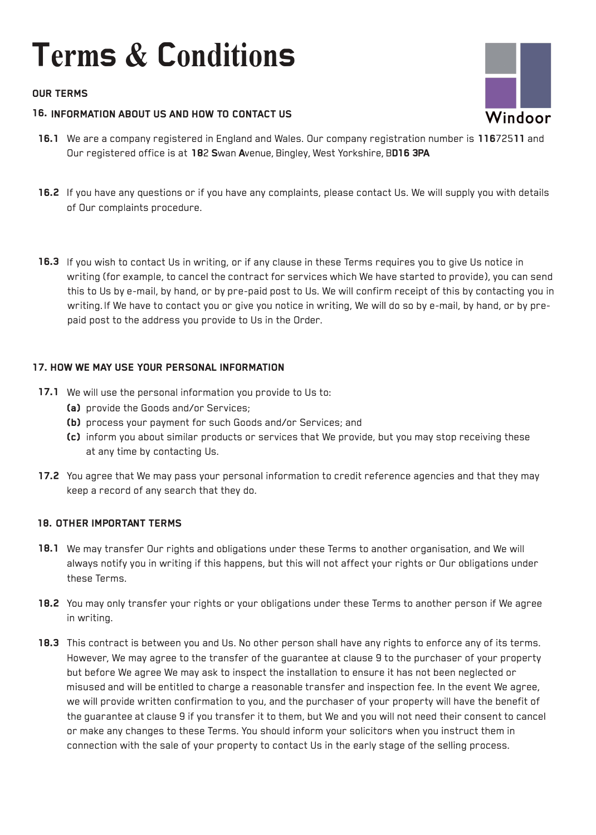### OUR TERMS

### 16. INFORMATION ABOUT US AND HOW TO CONTACT US

- 16.1 We are a company registered in England and Wales. Our company registration number is 11672511 and Our registered office is at 182 Swan Avenue, Bingley, West Yorkshire, BD16 3PA
- 16.2 If you have any questions or if you have any complaints, please contact Us. We will supply you with details of Our complaints procedure.
- 16.3 If you wish to contact Us in writing, or if any clause in these Terms requires you to give Us notice in writing (for example, to cancel the contract for services which We have started to provide), you can send this to Us by e-mail, by hand, or by pre-paid post to Us. We will confirm receipt of this by contacting you in writing. If We have to contact you or give you notice in writing, We will do so by e-mail, by hand, or by prepaid post to the address you provide to Us in the Order.

### 17. HOW WE MAY USE YOUR PERSONAL INFORMATION

- 17.1 We will use the personal information you provide to Us to:
	- (a) provide the Goods and/or Services;
	- (b) process your payment for such Goods and/or Services; and
	- Cc) inform you about similar products or services that We provide, but you may stop receiving these at any time by contacting Us.
- 17.2 You agree that We may pass your personal information to credit reference agencies and that they may keep a record of any search that they do.

### 18. OTHER IMPORTANT TERMS

- 18.1 We may transfer Our rights and obligations under these Terms to another organisation, and We will always notify you in writing if this happens, but this will not affect your rights or Our obligations under these Terms.
- 18.2 You may only transfer your rights or your obligations under these Terms to another person if We agree in writing.
- 18.3 This contract is between you and Us. No other person shall have any rights to enforce any of its terms. However, We may agree to the transfer of the guarantee at clause 9 to the purchaser of your property but before We agree We may ask to inspect the installation to ensure it has not been neglected or misused and will be entitled to charge a reasonable transfer and inspection fee. In the event We agree, we will provide written confirmation to you, and the purchaser of your property will have the benefit of the guarantee at clause 9 if you transfer it to them, but We and you will not need their consent to cancel or make any changes to these Terms. You should inform your solicitors when you instruct them in connection with the sale of your property to contact Us in the early stage of the selling process.